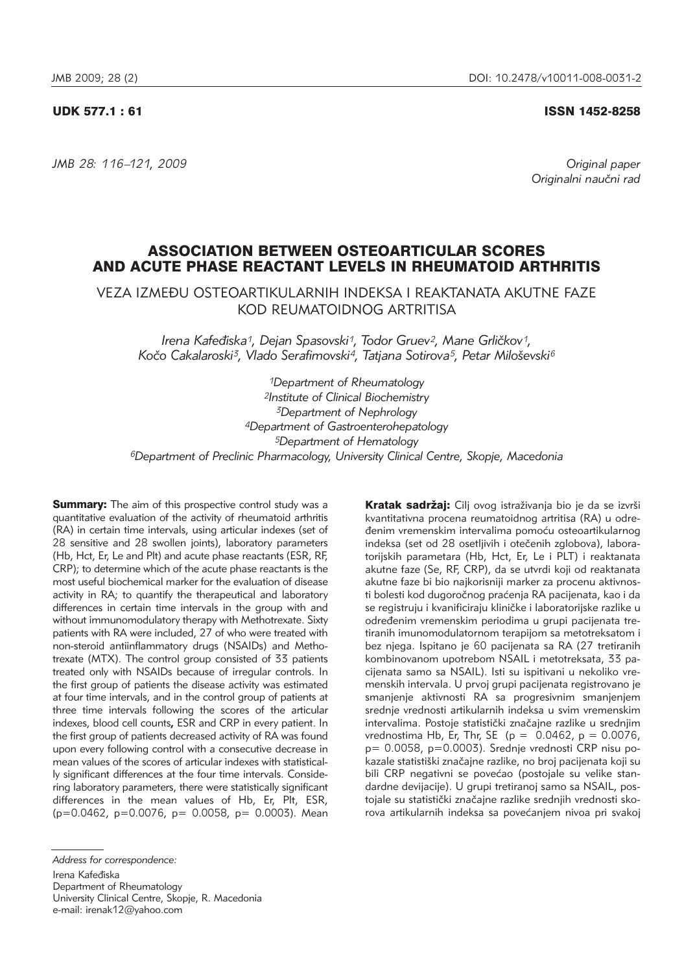*JMB 28: 116–121, 2009 Original paper* Originalni naučni rad

# ASSOCIATION BETWEEN OSTEOARTICULAR SCORES AND ACUTE PHASE REACTANT LEVELS IN RHEUMATOID ARTHRITIS

VEZA IZMEĐU OSTEOARTIKULARNIH INDEKSA I REAKTANATA AKUTNE FAZE KOD REUMATOIDNOG ARTRITISA

Irena Kafeđiska<sup>1</sup>, Dejan Spasovski<sup>1</sup>, Todor Gruev<sup>2</sup>, Mane Grličkov<sup>1</sup>, Kočo Cakalaroski<sup>3</sup>, Vlado Serafimovski<sup>4</sup>, Tatjana Sotirova<sup>5</sup>, Petar Miloševski<sup>6</sup>

*1Department of Rheumatology 2Institute of Clinical Biochemistry 3Department of Nephrology 4Department of Gastroenterohepatology 5Department of Hematology 6Department of Preclinic Pharmacology, University Clinical Centre, Skopje, Macedonia*

**Summary:** The aim of this prospective control study was a quantitative evaluation of the activity of rheumatoid arthritis (RA) in certain time intervals, using articular indexes (set of 28 sensitive and 28 swollen joints), laboratory parameters (Hb, Hct, Er, Le and Plt) and acute phase reactants (ESR, RF, CRP); to determine which of the acute phase reactants is the most useful biochemical marker for the evaluation of disease activity in RA; to quantify the therapeutical and laboratory differences in certain time intervals in the group with and without immunomodulatory therapy with Methotrexate. Sixty patients with RA were included, 27 of who were treated with non-steroid antiinflammatory drugs (NSAIDs) and Methotrexate (MTX). The control group consisted of 33 patients treated only with NSAIDs because of irregular controls. In the first group of patients the disease activity was estimated at four time intervals, and in the control group of patients at three time intervals following the scores of the articular indexes, blood cell counts**,** ESR and CRP in every patient. In the first group of patients decreased activity of RA was found upon every following control with a consecutive decrease in mean values of the scores of articular indexes with statistically significant differences at the four time intervals. Considering laboratory parameters, there were statistically significant differences in the mean values of Hb, Er, Plt, ESR, (p=0.0462, p=0.0076, p= 0.0058, p= 0.0003). Mean

*Address for correspondence:* Irena Kafeđiska Department of Rheumatology University Clinical Centre, Skopje, R. Macedonia e-mail: irenak12@yahoo.com

Kratak sadržai: Cili ovog istraživania bio je da se izvrši kvantitativna procena reumatoidnog artritisa (RA) u odre đenim vremenskim intervalima pomoću osteoartikularnog indeksa (set od 28 osetljivih i otečenih zglobova), laboratorijskih parametara (Hb, Hct, Er, Le i PLT) i reaktanata akutne faze (Se, RF, CRP), da se utvrdi koji od reaktanata akutne faze bi bio najkorisniji marker za procenu aktivnosti bolesti kod dugoročnog praćenja RA pacijenata, kao i da se registruju i kvanificiraju kliničke i laboratorijske razlike u određenim vremenskim periodima u grupi pacijenata tretiranih imunomodulatornom terapijom sa metotreksatom i bez njega. Ispitano je 60 pacijenata sa RA (27 tretiranih kombinovanom upotrebom NSAIL i metotreksata, 33 pacijenata samo sa NSAIL). Isti su ispitivani u nekoliko vremenskih intervala. U prvoj grupi pacijenata registrovano je smanjenje aktivnosti RA sa progresivnim smanjenjem srednje vrednosti artikularnih indeksa u svim vremenskim intervalima. Postoje statistički značajne razlike u srednjim vrednostima Hb, Er, Thr, SE ( $p = 0.0462$ ,  $p = 0.0076$ ,  $p= 0.0058$ ,  $p=0.0003$ ). Srednje vrednosti CRP nisu pokazale statistiški značajne razlike, no broj pacijenata koji su bili CRP negativni se povećao (postojale su velike standardne devijacije). U grupi tretiranoj samo sa NSAIL, postojale su statistički značajne razlike srednjih vrednosti skorova artikularnih indeksa sa povećanjem nivoa pri svakoj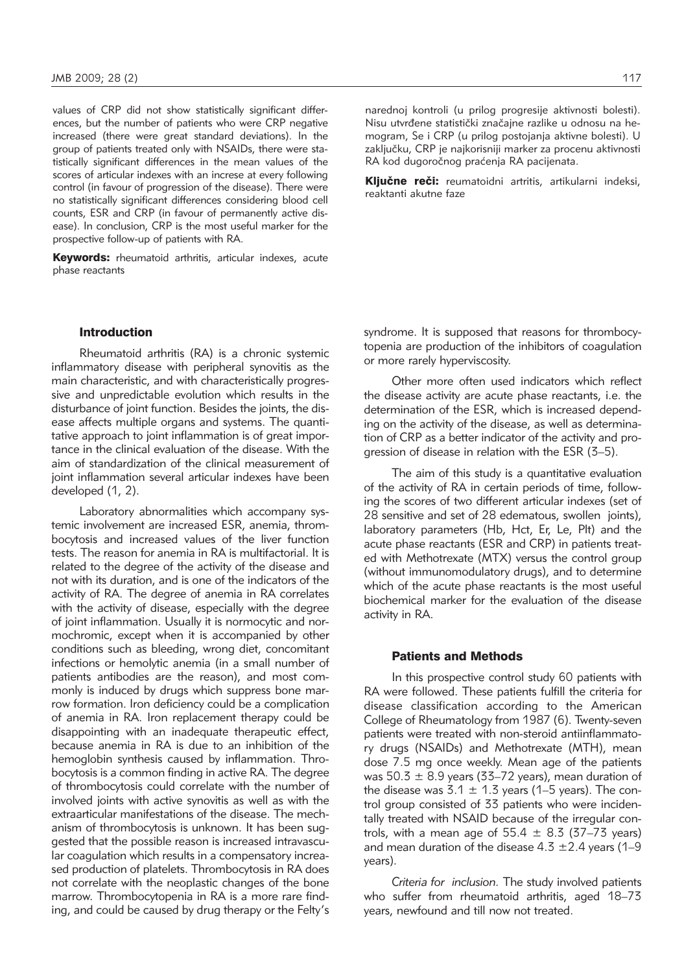values of CRP did not show statistically significant differences, but the number of patients who were CRP negative increased (there were great standard deviations). In the group of patients treated only with NSAIDs, there were statistically significant differences in the mean values of the scores of articular indexes with an increse at every following control (in favour of progression of the disease). There were no statistically significant differences considering blood cell counts, ESR and CRP (in favour of permanently active disease). In conclusion, CRP is the most useful marker for the prospective follow-up of patients with RA.

Keywords: rheumatoid arthritis, articular indexes, acute phase reactants

### Introduction

Rheumatoid arthritis (RA) is a chronic systemic inflammatory disease with peripheral synovitis as the main characteristic, and with characteristically progressive and unpredictable evolution which results in the disturbance of joint function. Besides the joints, the disease affects multiple organs and systems. The quantitative approach to joint inflammation is of great importance in the clinical evaluation of the disease. With the aim of standardization of the clinical measurement of joint inflammation several articular indexes have been developed (1, 2).

Laboratory abnormalities which accompany systemic involvement are increased ESR, anemia, thrombocytosis and increased values of the liver function tests. The reason for anemia in RA is multifactorial. It is related to the degree of the activity of the disease and not with its duration, and is one of the indicators of the activity of RA. The degree of anemia in RA correlates with the activity of disease, especially with the degree of joint inflammation. Usually it is normocytic and normochromic, except when it is accompanied by other conditions such as bleeding, wrong diet, concomitant infections or hemolytic anemia (in a small number of patients antibodies are the reason), and most commonly is induced by drugs which suppress bone marrow formation. Iron deficiency could be a complication of anemia in RA. Iron replacement therapy could be disappointing with an inadequate therapeutic effect, because anemia in RA is due to an inhibition of the hemoglobin synthesis caused by inflammation. Throbocytosis is a common finding in active RA. The degree of thrombocytosis could correlate with the number of involved joints with active synovitis as well as with the extraarticular manifestations of the disease. The mechanism of thrombocytosis is unknown. It has been suggested that the possible reason is increased intravascular coagulation which results in a compensatory increased production of platelets. Thrombocytosis in RA does not correlate with the neoplastic changes of the bone marrow. Thrombocytopenia in RA is a more rare finding, and could be caused by drug therapy or the Felty's

narednoj kontroli (u prilog progresije aktivnosti bolesti). Nisu utvrđene statistički značajne razlike u odnosu na hemogram, Se i CRP (u prilog postojanja aktivne bolesti). U zaključku, CRP je najkorisniji marker za procenu aktivnosti RA kod dugoročnog praćenja RA pacijenata.

Ključne reči: reumatoidni artritis, artikularni indeksi, reaktanti akutne faze

syndrome. It is supposed that reasons for thrombocytopenia are production of the inhibitors of coagulation or more rarely hyperviscosity.

Other more often used indicators which reflect the disease activity are acute phase reactants, i.e. the determination of the ESR, which is increased depending on the activity of the disease, as well as determination of CRP as a better indicator of the activity and progression of disease in relation with the ESR (3–5).

The aim of this study is a quantitative evaluation of the activity of RA in certain periods of time, following the scores of two different articular indexes (set of 28 sensitive and set of 28 edematous, swollen joints), laboratory parameters (Hb, Hct, Er, Le, Plt) and the acute phase reactants (ESR and CRP) in patients treated with Methotrexate (MTX) versus the control group (without immunomodulatory drugs), and to determine which of the acute phase reactants is the most useful biochemical marker for the evaluation of the disease activity in RA.

#### Patients and Methods

In this prospective control study 60 patients with RA were followed. These patients fulfill the criteria for disease classification according to the American College of Rheumatology from 1987 (6). Twenty-seven patients were treated with non-steroid antiinflammatory drugs (NSAIDs) and Methotrexate (MTH), mean dose 7.5 mg once weekly. Mean age of the patients was 50.3  $\pm$  8.9 years (33–72 years), mean duration of the disease was  $3.1 \pm 1.3$  years (1–5 years). The control group consisted of 33 patients who were incidentally treated with NSAID because of the irregular controls, with a mean age of  $55.4 \pm 8.3$  (37-73 years) and mean duration of the disease  $4.3 \pm 2.4$  years (1-9 years).

*Criteria for inclusion.* The study involved patients who suffer from rheumatoid arthritis, aged 18–73 years, newfound and till now not treated.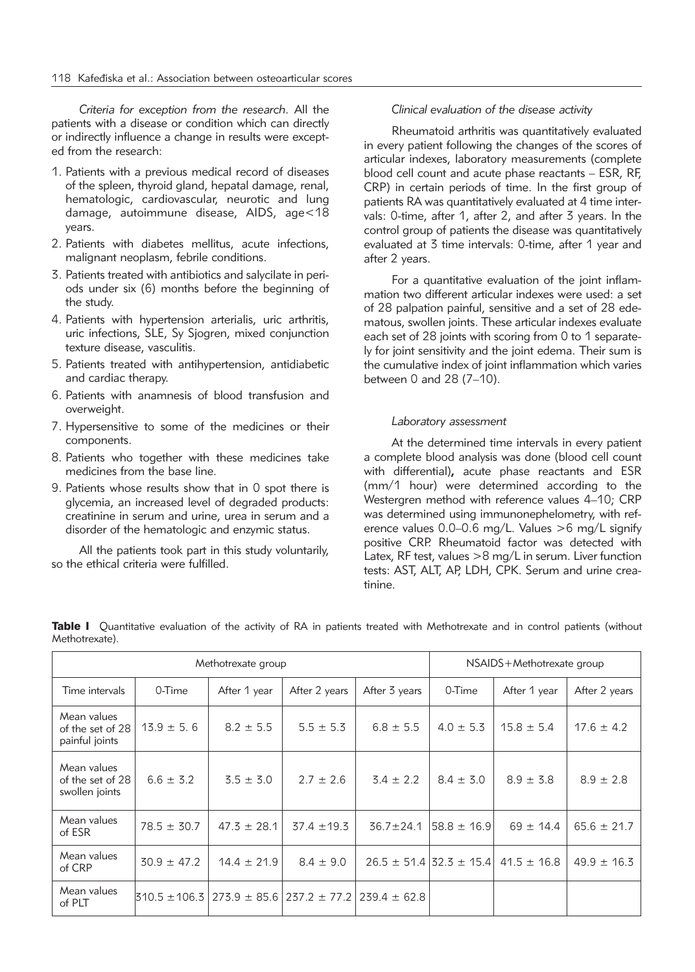*Criteria for exception from the research.* All the patients with a disease or condition which can directly or indirectly influence a change in results were excepted from the research:

- 1. Patients with a previous medical record of diseases of the spleen, thyroid gland, hepatal damage, renal, hematologic, cardiovascular, neurotic and lung damage, autoimmune disease, AIDS, age<18 years.
- 2. Patients with diabetes mellitus, acute infections, malignant neoplasm, febrile conditions.
- 3. Patients treated with antibiotics and salycilate in periods under six (6) months before the beginning of the study.
- 4. Patients with hypertension arterialis, uric arthritis, uric infections, SLE, Sy Sjogren, mixed conjunction texture disease, vasculitis.
- 5. Patients treated with antihypertension, antidiabetic and cardiac therapy.
- 6. Patients with anamnesis of blood transfusion and overweight.
- 7. Hypersensitive to some of the medicines or their components.
- 8. Patients who together with these medicines take medicines from the base line.
- 9. Patients whose results show that in 0 spot there is glycemia, an increased level of degraded products: creatinine in serum and urine, urea in serum and a disorder of the hematologic and enzymic status.

All the patients took part in this study voluntarily, so the ethical criteria were fulfilled.

## *Clinical evaluation of the disease activity*

Rheumatoid arthritis was quantitatively evaluated in every patient following the changes of the scores of articular indexes, laboratory measurements (complete blood cell count and acute phase reactants – ESR, RF, CRP) in certain periods of time. In the first group of patients RA was quantitatively evaluated at 4 time intervals: 0-time, after 1, after 2, and after 3 years. In the control group of patients the disease was quantitatively evaluated at 3 time intervals: 0-time, after 1 year and after 2 years.

For a quantitative evaluation of the joint inflammation two different articular indexes were used: a set of 28 palpation painful, sensitive and a set of 28 edematous, swollen joints. These articular indexes evaluate each set of 28 joints with scoring from 0 to 1 separately for joint sensitivity and the joint edema. Their sum is the cumulative index of joint inflammation which varies between 0 and 28 (7–10).

#### *Laboratory assessment*

At the determined time intervals in every patient a complete blood analysis was done (blood cell count with differential)**,** acute phase reactants and ESR (mm/1 hour) were determined according to the Westergren method with reference values 4–10; CRP was determined using immunonephelometry, with reference values  $0.0-0.6$  mg/L. Values  $>6$  mg/L signify positive CRP. Rheumatoid factor was detected with Latex, RF test, values >8 mg/L in serum. Liver function tests: AST, ALT, AP, LDH, CPK. Serum and urine creatinine.

| Methotrexate group                                |                                                         |                 |                 |                  | NSAIDS+Methotrexate group       |                 |                 |
|---------------------------------------------------|---------------------------------------------------------|-----------------|-----------------|------------------|---------------------------------|-----------------|-----------------|
| Time intervals                                    | 0-Time                                                  | After 1 year    | After 2 years   | After 3 years    | 0-Time                          | After 1 year    | After 2 years   |
| Mean values<br>of the set of 28<br>painful joints | $13.9 \pm 5.6$                                          | $8.2 \pm 5.5$   | $5.5 \pm 5.3$   | $6.8 \pm 5.5$    | $4.0 \pm 5.3$                   | $15.8 \pm 5.4$  | $17.6 \pm 4.2$  |
| Mean values<br>of the set of 28<br>swollen joints | $6.6 \pm 3.2$                                           | $3.5 \pm 3.0$   | $2.7 \pm 2.6$   | $3.4 \pm 2.2$    | $8.4 \pm 3.0$                   | $8.9 \pm 3.8$   | $8.9 \pm 2.8$   |
| Mean values<br>of ESR                             | $78.5 \pm 30.7$                                         | $47.3 \pm 28.1$ | $37.4 \pm 19.3$ | $36.7 \pm 24.1$  | $58.8 \pm 16.9$                 | $69 \pm 14.4$   | $65.6 \pm 21.7$ |
| Mean values<br>of CRP                             | $30.9 \pm 47.2$                                         | $14.4 \pm 21.9$ | $8.4 \pm 9.0$   |                  | $26.5 \pm 51.4$ 32.3 $\pm$ 15.4 | $41.5 \pm 16.8$ | $49.9 \pm 16.3$ |
| Mean values<br>of PLT                             | $310.5 \pm 106.3$   273.9 $\pm$ 85.6   237.2 $\pm$ 77.2 |                 |                 | $239.4 \pm 62.8$ |                                 |                 |                 |

Table I Quantitative evaluation of the activity of RA in patients treated with Methotrexate and in control patients (without Methotrexate).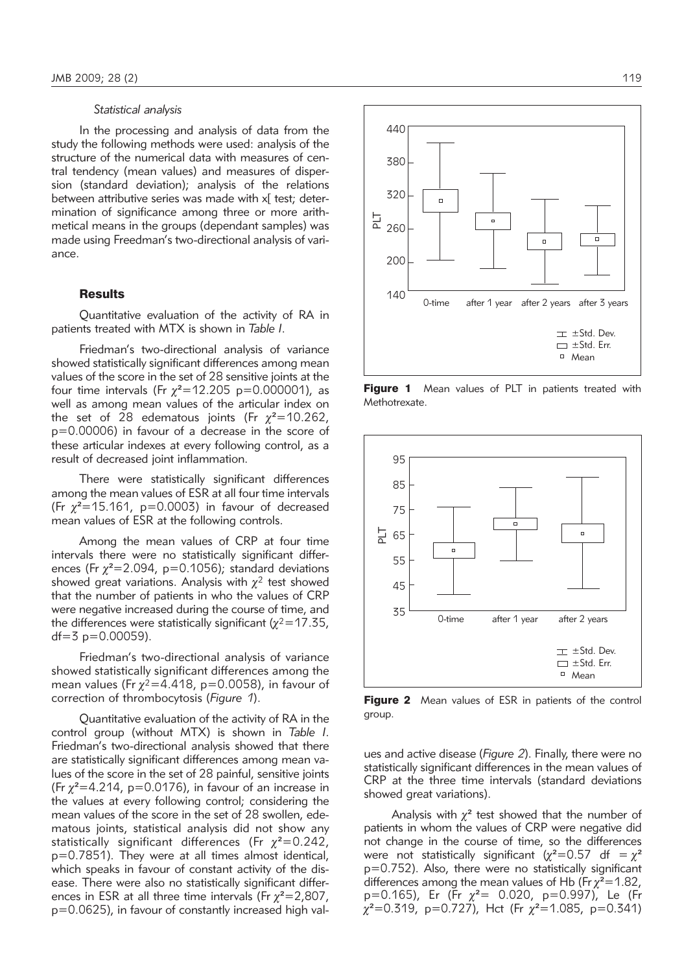#### *Statistical analysis*

In the processing and analysis of data from the study the following methods were used: analysis of the structure of the numerical data with measures of central tendency (mean values) and measures of dispersion (standard deviation); analysis of the relations between attributive series was made with x[ test; determination of significance among three or more arithmetical means in the groups (dependant samples) was made using Freedman's two-directional analysis of variance.

#### **Results**

Quantitative evaluation of the activity of RA in patients treated with MTX is shown in *Table I*.

Friedman's two-directional analysis of variance showed statistically significant differences among mean values of the score in the set of 28 sensitive joints at the four time intervals (Fr  $\chi^2$ =12.205 p=0.000001), as well as among mean values of the articular index on the set of 28 edematous joints (Fr  $\chi^2$ =10.262, p=0.00006) in favour of a decrease in the score of these articular indexes at every following control, as a result of decreased joint inflammation.

There were statistically significant differences among the mean values of ESR at all four time intervals (Fr  $\chi^2$ =15.161, p=0.0003) in favour of decreased mean values of ESR at the following controls.

Among the mean values of CRP at four time intervals there were no statistically significant differences (Fr  $\chi^2$ =2.094, p=0.1056); standard deviations showed great variations. Analysis with  $\chi^2$  test showed that the number of patients in who the values of CRP were negative increased during the course of time, and the differences were statistically significant ( $\chi^2$ =17.35,  $df = 3$  p=0.00059).

Friedman's two-directional analysis of variance showed statistically significant differences among the mean values (Fr  $\chi^2$ =4.418, p=0.0058), in favour of correction of thrombocytosis (*Figure 1*).

Quantitative evaluation of the activity of RA in the control group (without MTX) is shown in *Table I*. Friedman's two-directional analysis showed that there are statistically significant differences among mean values of the score in the set of 28 painful, sensitive joints (Fr  $\gamma^2$ =4.214, p=0.0176), in favour of an increase in the values at every following control; considering the mean values of the score in the set of 28 swollen, edematous joints, statistical analysis did not show any statistically significant differences (Fr  $\chi^2$ =0.242, p=0.7851). They were at all times almost identical, which speaks in favour of constant activity of the disease. There were also no statistically significant differences in ESR at all three time intervals (Fr  $\chi^2$ =2,807, p=0.0625), in favour of constantly increased high val-



Figure 1 Mean values of PLT in patients treated with Methotrexate.



**Figure 2** Mean values of ESR in patients of the control group.

ues and active disease (*Figure 2*). Finally, there were no statistically significant differences in the mean values of CRP at the three time intervals (standard deviations showed great variations).

Analysis with  $\chi^2$  test showed that the number of patients in whom the values of CRP were negative did not change in the course of time, so the differences were not statistically significant ( $\chi^2$ =0.57 df =  $\chi^2$ p=0.752). Also, there were no statistically significant differences among the mean values of Hb (Fr  $\chi^2$ =1.82, p=0.165), Er (Fr  $\chi^2$ = 0.020, p=0.997), Le (Fr  $\chi^2$ =0.319, p=0.727), Hct (Fr  $\chi^2$ =1.085, p=0.341)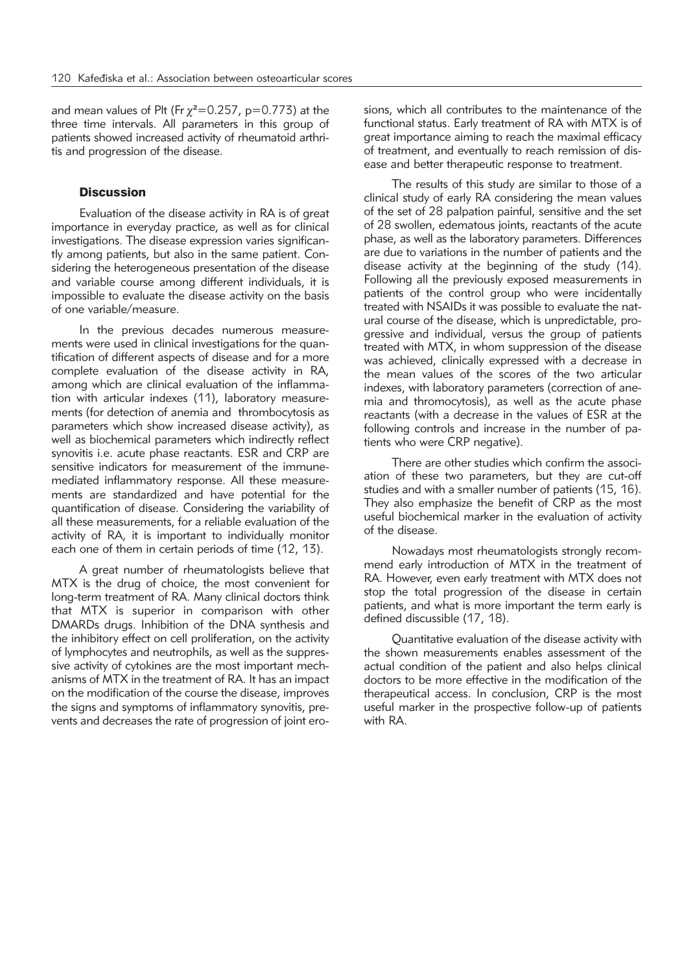and mean values of Plt (Fr  $\chi^2$ =0.257, p=0.773) at the three time intervals. All parameters in this group of patients showed increased activity of rheumatoid arthritis and progression of the disease.

#### **Discussion**

Evaluation of the disease activity in RA is of great importance in everyday practice, as well as for clinical investigations. The disease expression varies significantly among patients, but also in the same patient. Considering the heterogeneous presentation of the disease and variable course among different individuals, it is impossible to evaluate the disease activity on the basis of one variable/measure.

In the previous decades numerous measurements were used in clinical investigations for the quantification of different aspects of disease and for a more complete evaluation of the disease activity in RA, among which are clinical evaluation of the inflammation with articular indexes (11), laboratory measurements (for detection of anemia and thrombocytosis as parameters which show increased disease activity), as well as biochemical parameters which indirectly reflect synovitis i.e. acute phase reactants. ESR and CRP are sensitive indicators for measurement of the immunemediated inflammatory response. All these measurements are standardized and have potential for the quantification of disease. Considering the variability of all these measurements, for a reliable evaluation of the activity of RA, it is important to individually monitor each one of them in certain periods of time (12, 13).

A great number of rheumatologists believe that MTX is the drug of choice, the most convenient for long-term treatment of RA. Many clinical doctors think that MTX is superior in comparison with other DMARDs drugs. Inhibition of the DNA synthesis and the inhibitory effect on cell proliferation, on the activity of lymphocytes and neutrophils, as well as the suppressive activity of cytokines are the most important mechanisms of MTX in the treatment of RA. It has an impact on the modification of the course the disease, improves the signs and symptoms of inflammatory synovitis, prevents and decreases the rate of progression of joint erosions, which all contributes to the maintenance of the functional status. Early treatment of RA with MTX is of great importance aiming to reach the maximal efficacy of treatment, and eventually to reach remission of disease and better therapeutic response to treatment.

The results of this study are similar to those of a clinical study of early RA considering the mean values of the set of 28 palpation painful, sensitive and the set of 28 swollen, edematous joints, reactants of the acute phase, as well as the laboratory parameters. Differences are due to variations in the number of patients and the disease activity at the beginning of the study (14). Following all the previously exposed measurements in patients of the control group who were incidentally treated with NSAIDs it was possible to evaluate the natural course of the disease, which is unpredictable, progressive and individual, versus the group of patients treated with MTX, in whom suppression of the disease was achieved, clinically expressed with a decrease in the mean values of the scores of the two articular indexes, with laboratory parameters (correction of anemia and thromocytosis), as well as the acute phase reactants (with a decrease in the values of ESR at the following controls and increase in the number of patients who were CRP negative).

There are other studies which confirm the association of these two parameters, but they are cut-off studies and with a smaller number of patients (15, 16). They also emphasize the benefit of CRP as the most useful biochemical marker in the evaluation of activity of the disease.

Nowadays most rheumatologists strongly recommend early introduction of MTX in the treatment of RA. However, even early treatment with MTX does not stop the total progression of the disease in certain patients, and what is more important the term early is defined discussible (17, 18).

Quantitative evaluation of the disease activity with the shown measurements enables assessment of the actual condition of the patient and also helps clinical doctors to be more effective in the modification of the therapeutical access. In conclusion, CRP is the most useful marker in the prospective follow-up of patients with RA